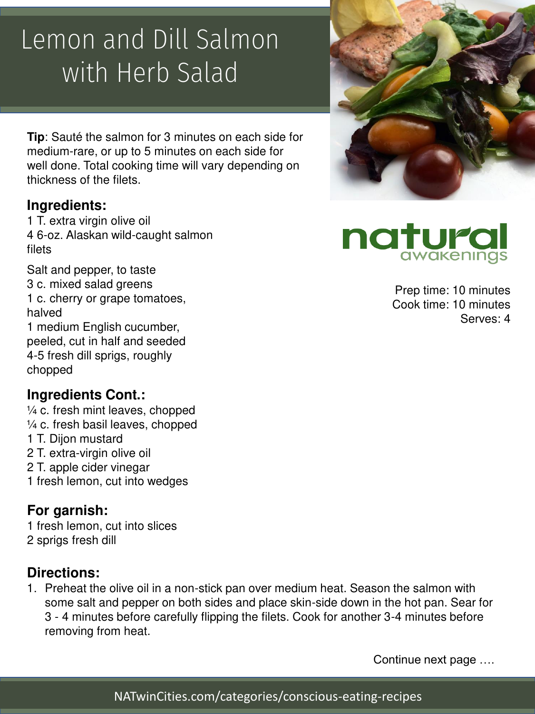## Lemon and Dill Salmon with Herb Salad

**Tip**: Sauté the salmon for 3 minutes on each side for medium-rare, or up to 5 minutes on each side for well done. Total cooking time will vary depending on thickness of the filets.

#### **Ingredients:**

1 T. extra virgin olive oil 4 6-oz. Alaskan wild-caught salmon filets

Salt and pepper, to taste 3 c. mixed salad greens 1 c. cherry or grape tomatoes, halved 1 medium English cucumber, peeled, cut in half and seeded 4-5 fresh dill sprigs, roughly chopped

### **Ingredients Cont.:**

¼ c. fresh mint leaves, chopped ¼ c. fresh basil leaves, chopped 1 T. Dijon mustard 2 T. extra-virgin olive oil 2 T. apple cider vinegar 1 fresh lemon, cut into wedges

### **For garnish:**

1 fresh lemon, cut into slices 2 sprigs fresh dill

#### **Directions:**

1. Preheat the olive oil in a non-stick pan over medium heat. Season the salmon with some salt and pepper on both sides and place skin-side down in the hot pan. Sear for 3 - 4 minutes before carefully flipping the filets. Cook for another 3-4 minutes before removing from heat.





Prep time: 10 minutes Cook time: 10 minutes Serves: 4

Continue next page ….